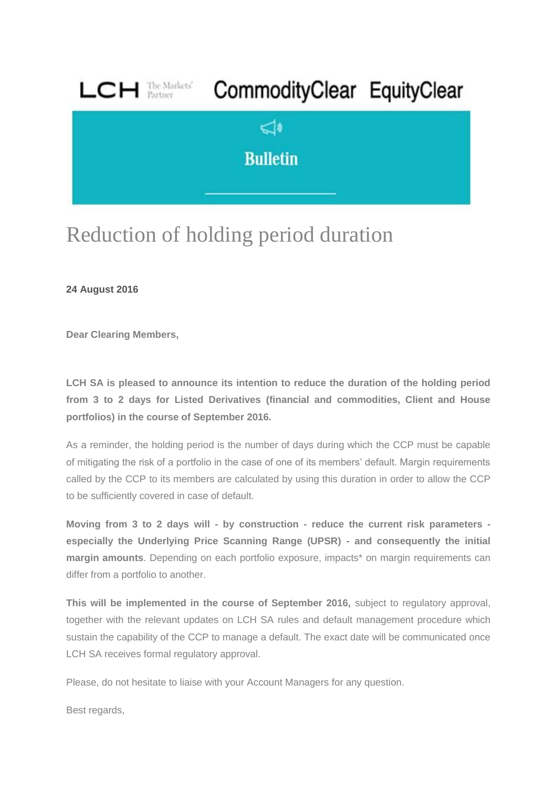

## Reduction of holding period duration

**24 August 2016**

**Dear Clearing Members,**

**LCH SA is pleased to announce its intention to reduce the duration of the holding period from 3 to 2 days for Listed Derivatives (financial and commodities, Client and House portfolios) in the course of September 2016.**

As a reminder, the holding period is the number of days during which the CCP must be capable of mitigating the risk of a portfolio in the case of one of its members' default. Margin requirements called by the CCP to its members are calculated by using this duration in order to allow the CCP to be sufficiently covered in case of default.

**Moving from 3 to 2 days will - by construction - reduce the current risk parameters especially the Underlying Price Scanning Range (UPSR) - and consequently the initial margin amounts**. Depending on each portfolio exposure, impacts\* on margin requirements can differ from a portfolio to another.

**This will be implemented in the course of September 2016,** subject to regulatory approval, together with the relevant updates on LCH SA rules and default management procedure which sustain the capability of the CCP to manage a default. The exact date will be communicated once LCH SA receives formal regulatory approval.

Please, do not hesitate to liaise with your Account Managers for any question.

Best regards,